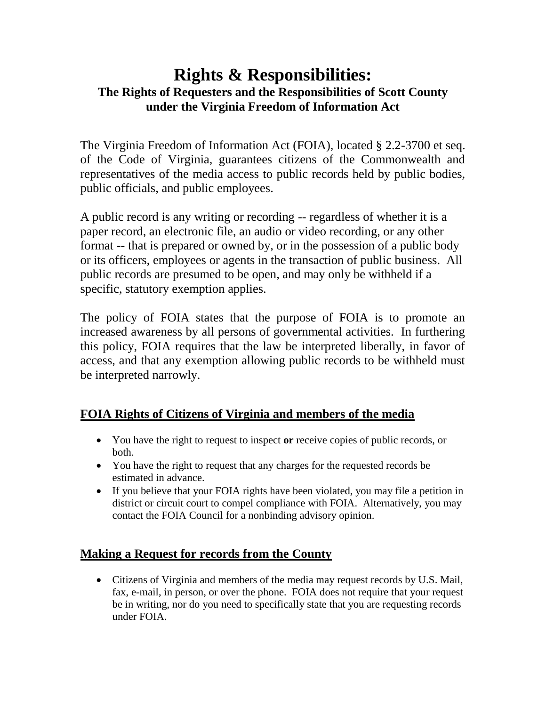# **Rights & Responsibilities: The Rights of Requesters and the Responsibilities of Scott County under the Virginia Freedom of Information Act**

The Virginia Freedom of Information Act (FOIA), located § 2.2-3700 et seq. of the Code of Virginia, guarantees citizens of the Commonwealth and representatives of the media access to public records held by public bodies, public officials, and public employees.

A public record is any writing or recording -- regardless of whether it is a paper record, an electronic file, an audio or video recording, or any other format -- that is prepared or owned by, or in the possession of a public body or its officers, employees or agents in the transaction of public business. All public records are presumed to be open, and may only be withheld if a specific, statutory exemption applies.

The policy of FOIA states that the purpose of FOIA is to promote an increased awareness by all persons of governmental activities. In furthering this policy, FOIA requires that the law be interpreted liberally, in favor of access, and that any exemption allowing public records to be withheld must be interpreted narrowly.

## **FOIA Rights of Citizens of Virginia and members of the media**

- You have the right to request to inspect **or** receive copies of public records, or both.
- You have the right to request that any charges for the requested records be estimated in advance.
- If you believe that your FOIA rights have been violated, you may file a petition in district or circuit court to compel compliance with FOIA. Alternatively, you may contact the FOIA Council for a nonbinding advisory opinion.

## **Making a Request for records from the County**

 Citizens of Virginia and members of the media may request records by U.S. Mail, fax, e-mail, in person, or over the phone. FOIA does not require that your request be in writing, nor do you need to specifically state that you are requesting records under FOIA.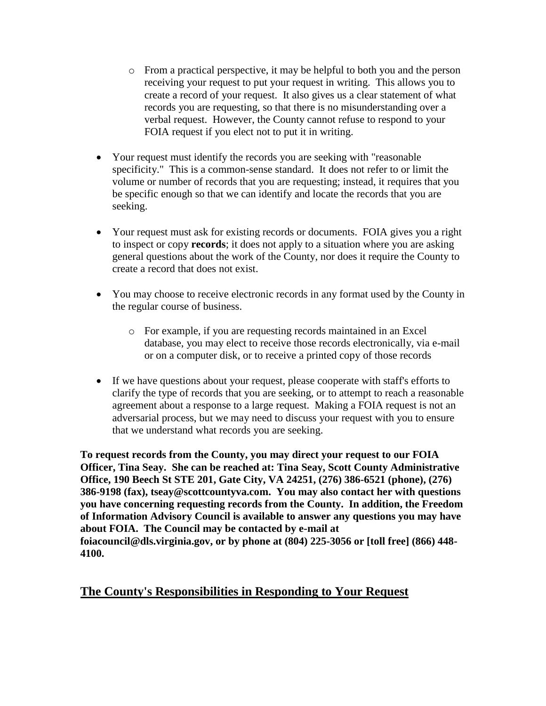- o From a practical perspective, it may be helpful to both you and the person receiving your request to put your request in writing. This allows you to create a record of your request. It also gives us a clear statement of what records you are requesting, so that there is no misunderstanding over a verbal request. However, the County cannot refuse to respond to your FOIA request if you elect not to put it in writing.
- Your request must identify the records you are seeking with "reasonable specificity." This is a common-sense standard. It does not refer to or limit the volume or number of records that you are requesting; instead, it requires that you be specific enough so that we can identify and locate the records that you are seeking.
- Your request must ask for existing records or documents. FOIA gives you a right to inspect or copy **records**; it does not apply to a situation where you are asking general questions about the work of the County, nor does it require the County to create a record that does not exist.
- You may choose to receive electronic records in any format used by the County in the regular course of business.
	- o For example, if you are requesting records maintained in an Excel database, you may elect to receive those records electronically, via e-mail or on a computer disk, or to receive a printed copy of those records
- If we have questions about your request, please cooperate with staff's efforts to clarify the type of records that you are seeking, or to attempt to reach a reasonable agreement about a response to a large request. Making a FOIA request is not an adversarial process, but we may need to discuss your request with you to ensure that we understand what records you are seeking.

**To request records from the County, you may direct your request to our FOIA Officer, Tina Seay. She can be reached at: Tina Seay, Scott County Administrative Office, 190 Beech St STE 201, Gate City, VA 24251, (276) 386-6521 (phone), (276) 386-9198 (fax), tseay@scottcountyva.com. You may also contact her with questions you have concerning requesting records from the County. In addition, the Freedom of Information Advisory Council is available to answer any questions you may have about FOIA. The Council may be contacted by e-mail at foiacouncil@dls.virginia.gov, or by phone at (804) 225-3056 or [toll free] (866) 448- 4100.**

### **The County's Responsibilities in Responding to Your Request**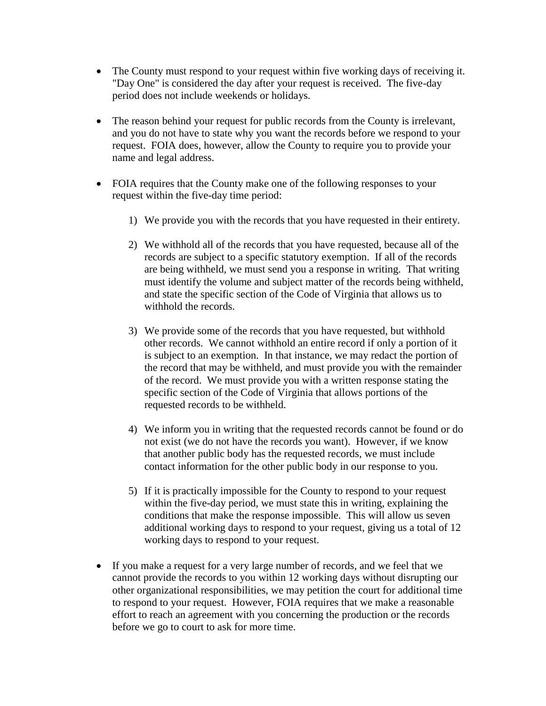- The County must respond to your request within five working days of receiving it. "Day One" is considered the day after your request is received. The five-day period does not include weekends or holidays.
- The reason behind your request for public records from the County is irrelevant, and you do not have to state why you want the records before we respond to your request. FOIA does, however, allow the County to require you to provide your name and legal address.
- FOIA requires that the County make one of the following responses to your request within the five-day time period:
	- 1) We provide you with the records that you have requested in their entirety.
	- 2) We withhold all of the records that you have requested, because all of the records are subject to a specific statutory exemption. If all of the records are being withheld, we must send you a response in writing. That writing must identify the volume and subject matter of the records being withheld, and state the specific section of the Code of Virginia that allows us to withhold the records.
	- 3) We provide some of the records that you have requested, but withhold other records. We cannot withhold an entire record if only a portion of it is subject to an exemption. In that instance, we may redact the portion of the record that may be withheld, and must provide you with the remainder of the record. We must provide you with a written response stating the specific section of the Code of Virginia that allows portions of the requested records to be withheld.
	- 4) We inform you in writing that the requested records cannot be found or do not exist (we do not have the records you want). However, if we know that another public body has the requested records, we must include contact information for the other public body in our response to you.
	- 5) If it is practically impossible for the County to respond to your request within the five-day period, we must state this in writing, explaining the conditions that make the response impossible. This will allow us seven additional working days to respond to your request, giving us a total of 12 working days to respond to your request.
- If you make a request for a very large number of records, and we feel that we cannot provide the records to you within 12 working days without disrupting our other organizational responsibilities, we may petition the court for additional time to respond to your request. However, FOIA requires that we make a reasonable effort to reach an agreement with you concerning the production or the records before we go to court to ask for more time.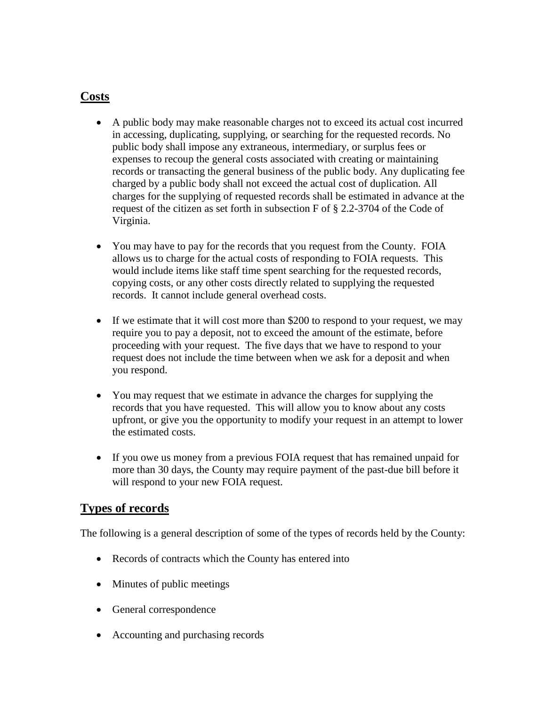#### **Costs**

- A public body may make reasonable charges not to exceed its actual cost incurred in accessing, duplicating, supplying, or searching for the requested records. No public body shall impose any extraneous, intermediary, or surplus fees or expenses to recoup the general costs associated with creating or maintaining records or transacting the general business of the public body. Any duplicating fee charged by a public body shall not exceed the actual cost of duplication. All charges for the supplying of requested records shall be estimated in advance at the request of the citizen as set forth in subsection F of § 2.2-3704 of the Code of Virginia.
- You may have to pay for the records that you request from the County. FOIA allows us to charge for the actual costs of responding to FOIA requests. This would include items like staff time spent searching for the requested records, copying costs, or any other costs directly related to supplying the requested records. It cannot include general overhead costs.
- If we estimate that it will cost more than \$200 to respond to your request, we may require you to pay a deposit, not to exceed the amount of the estimate, before proceeding with your request. The five days that we have to respond to your request does not include the time between when we ask for a deposit and when you respond.
- You may request that we estimate in advance the charges for supplying the records that you have requested. This will allow you to know about any costs upfront, or give you the opportunity to modify your request in an attempt to lower the estimated costs.
- If you owe us money from a previous FOIA request that has remained unpaid for more than 30 days, the County may require payment of the past-due bill before it will respond to your new FOIA request.

### **Types of records**

The following is a general description of some of the types of records held by the County:

- Records of contracts which the County has entered into
- Minutes of public meetings
- General correspondence
- Accounting and purchasing records